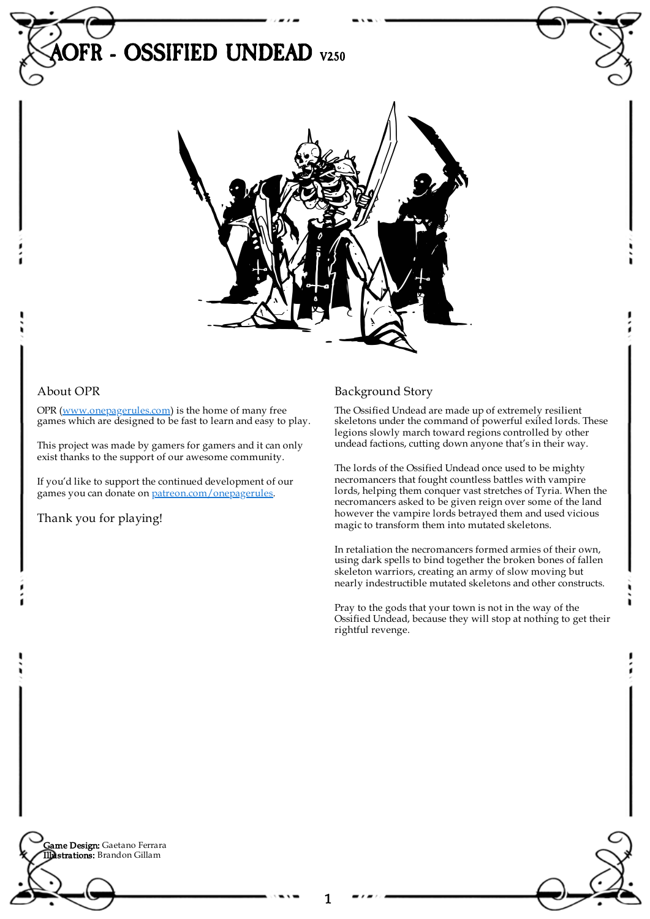

## About OPR

OPR [\(www.onepagerules.com](https://webapp.onepagerules.com/army-books/view/a_HXTYv06IFtSs9G~6/https//www.onepagerules.com)) is the home of many free games which are designed to be fast to learn and easy to play.

This project was made by gamers for gamers and it can only exist thanks to the support of our awesome community.

If you'd like to support the continued development of our games you can donate on [patreon.com/onepagerules](https://www.patreon.com/onepagerules).

Thank you for playing!

## Background Story

The Ossified Undead are made up of extremely resilient skeletons under the command of powerful exiled lords. These legions slowly march toward regions controlled by other undead factions, cutting down anyone that's in their way.

The lords of the Ossified Undead once used to be mighty necromancers that fought countless battles with vampire lords, helping them conquer vast stretches of Tyria. When the necromancers asked to be given reign over some of the land however the vampire lords betrayed them and used vicious magic to transform them into mutated skeletons.

In retaliation the necromancers formed armies of their own, using dark spells to bind together the broken bones of fallen skeleton warriors, creating an army of slow moving but nearly indestructible mutated skeletons and other constructs.

Pray to the gods that your town is not in the way of the Ossified Undead, because they will stop at nothing to get their rightful revenge.

**Game Design:** Gaetano Ferrara Illustrations: Brandon Gillam